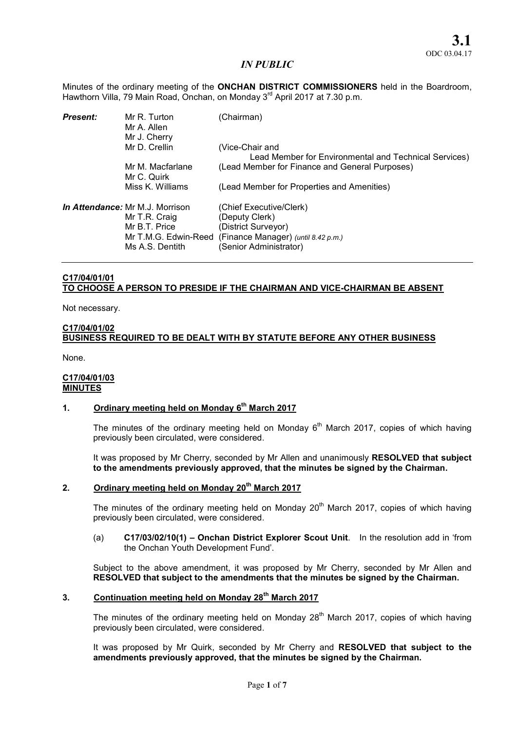Minutes of the ordinary meeting of the ONCHAN DISTRICT COMMISSIONERS held in the Boardroom, Hawthorn Villa, 79 Main Road, Onchan, on Monday 3<sup>rd</sup> April 2017 at 7.30 p.m.

| <b>Present:</b> | Mr R. Turton<br>Mr A. Allen<br>Mr J. Cherry                                                                         | (Chairman)                                                                                                                        |
|-----------------|---------------------------------------------------------------------------------------------------------------------|-----------------------------------------------------------------------------------------------------------------------------------|
|                 | Mr D. Crellin                                                                                                       | (Vice-Chair and<br>Lead Member for Environmental and Technical Services)                                                          |
|                 | Mr M. Macfarlane<br>Mr C. Quirk                                                                                     | (Lead Member for Finance and General Purposes)                                                                                    |
|                 | Miss K. Williams                                                                                                    | (Lead Member for Properties and Amenities)                                                                                        |
|                 | <i>In Attendance:</i> Mr M.J. Morrison<br>Mr T.R. Craig<br>Mr B.T. Price<br>Mr T.M.G. Edwin-Reed<br>Ms A.S. Dentith | (Chief Executive/Clerk)<br>(Deputy Clerk)<br>(District Surveyor)<br>(Finance Manager) (until 8.42 p.m.)<br>(Senior Administrator) |

# C17/04/01/01 TO CHOOSE A PERSON TO PRESIDE IF THE CHAIRMAN AND VICE-CHAIRMAN BE ABSENT

Not necessary.

### C17/04/01/02 BUSINESS REQUIRED TO BE DEALT WITH BY STATUTE BEFORE ANY OTHER BUSINESS

None.

#### C17/04/01/03 **MINUTES**

# 1. Ordinary meeting held on Monday  $6<sup>th</sup>$  March 2017

The minutes of the ordinary meeting held on Monday  $6<sup>th</sup>$  March 2017, copies of which having previously been circulated, were considered.

It was proposed by Mr Cherry, seconded by Mr Allen and unanimously RESOLVED that subject to the amendments previously approved, that the minutes be signed by the Chairman.

# 2. Ordinary meeting held on Monday 20<sup>th</sup> March 2017

The minutes of the ordinary meeting held on Monday  $20<sup>th</sup>$  March 2017, copies of which having previously been circulated, were considered.

#### (a) C17/03/02/10(1) – Onchan District Explorer Scout Unit. In the resolution add in 'from the Onchan Youth Development Fund'.

Subject to the above amendment, it was proposed by Mr Cherry, seconded by Mr Allen and RESOLVED that subject to the amendments that the minutes be signed by the Chairman.

# 3. Continuation meeting held on Monday 28<sup>th</sup> March 2017

The minutes of the ordinary meeting held on Monday  $28<sup>th</sup>$  March 2017, copies of which having previously been circulated, were considered.

It was proposed by Mr Quirk, seconded by Mr Cherry and RESOLVED that subject to the amendments previously approved, that the minutes be signed by the Chairman.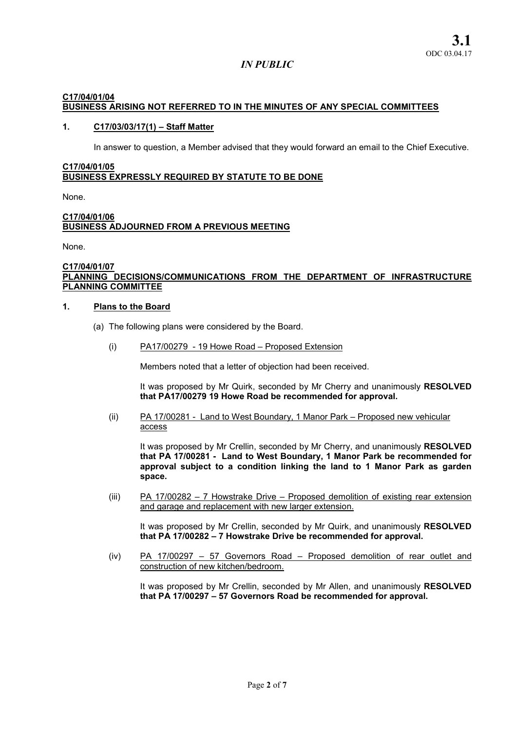## C17/04/01/04 BUSINESS ARISING NOT REFERRED TO IN THE MINUTES OF ANY SPECIAL COMMITTEES

### 1. C17/03/03/17(1) – Staff Matter

In answer to question, a Member advised that they would forward an email to the Chief Executive.

## C17/04/01/05 BUSINESS EXPRESSLY REQUIRED BY STATUTE TO BE DONE

None.

#### C17/04/01/06 BUSINESS ADJOURNED FROM A PREVIOUS MEETING

None.

#### C17/04/01/07 PLANNING DECISIONS/COMMUNICATIONS FROM THE DEPARTMENT OF INFRASTRUCTURE PLANNING COMMITTEE

#### 1. Plans to the Board

- (a) The following plans were considered by the Board.
	- (i) PA17/00279 19 Howe Road Proposed Extension

Members noted that a letter of objection had been received.

It was proposed by Mr Quirk, seconded by Mr Cherry and unanimously RESOLVED that PA17/00279 19 Howe Road be recommended for approval.

(ii) PA 17/00281 - Land to West Boundary, 1 Manor Park – Proposed new vehicular access

It was proposed by Mr Crellin, seconded by Mr Cherry, and unanimously RESOLVED that PA 17/00281 - Land to West Boundary, 1 Manor Park be recommended for approval subject to a condition linking the land to 1 Manor Park as garden space.

(iii) PA 17/00282 – 7 Howstrake Drive – Proposed demolition of existing rear extension and garage and replacement with new larger extension.

It was proposed by Mr Crellin, seconded by Mr Quirk, and unanimously RESOLVED that PA 17/00282 – 7 Howstrake Drive be recommended for approval.

(iv) PA 17/00297 – 57 Governors Road – Proposed demolition of rear outlet and construction of new kitchen/bedroom.

It was proposed by Mr Crellin, seconded by Mr Allen, and unanimously RESOLVED that PA 17/00297 – 57 Governors Road be recommended for approval.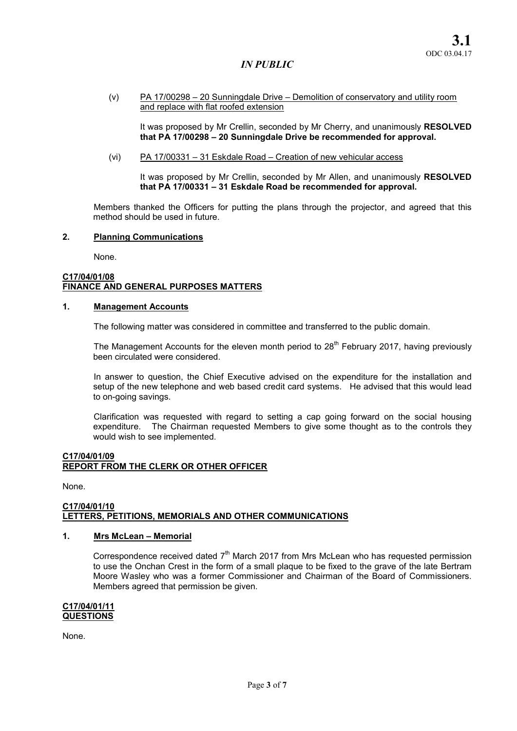(v) PA 17/00298 – 20 Sunningdale Drive – Demolition of conservatory and utility room and replace with flat roofed extension

It was proposed by Mr Crellin, seconded by Mr Cherry, and unanimously RESOLVED that PA 17/00298 – 20 Sunningdale Drive be recommended for approval.

(vi) PA 17/00331 – 31 Eskdale Road – Creation of new vehicular access

It was proposed by Mr Crellin, seconded by Mr Allen, and unanimously RESOLVED that PA 17/00331 – 31 Eskdale Road be recommended for approval.

Members thanked the Officers for putting the plans through the projector, and agreed that this method should be used in future.

#### 2. Planning Communications

None.

#### C17/04/01/08 FINANCE AND GENERAL PURPOSES MATTERS

#### 1. Management Accounts

The following matter was considered in committee and transferred to the public domain.

The Management Accounts for the eleven month period to  $28<sup>th</sup>$  February 2017, having previously been circulated were considered.

In answer to question, the Chief Executive advised on the expenditure for the installation and setup of the new telephone and web based credit card systems. He advised that this would lead to on-going savings.

Clarification was requested with regard to setting a cap going forward on the social housing expenditure. The Chairman requested Members to give some thought as to the controls they would wish to see implemented.

#### C17/04/01/09 REPORT FROM THE CLERK OR OTHER OFFICER

None.

#### C17/04/01/10 LETTERS, PETITIONS, MEMORIALS AND OTHER COMMUNICATIONS

# 1. Mrs McLean – Memorial

Correspondence received dated  $7<sup>th</sup>$  March 2017 from Mrs McLean who has requested permission to use the Onchan Crest in the form of a small plaque to be fixed to the grave of the late Bertram Moore Wasley who was a former Commissioner and Chairman of the Board of Commissioners. Members agreed that permission be given.

#### C17/04/01/11 **QUESTIONS**

None.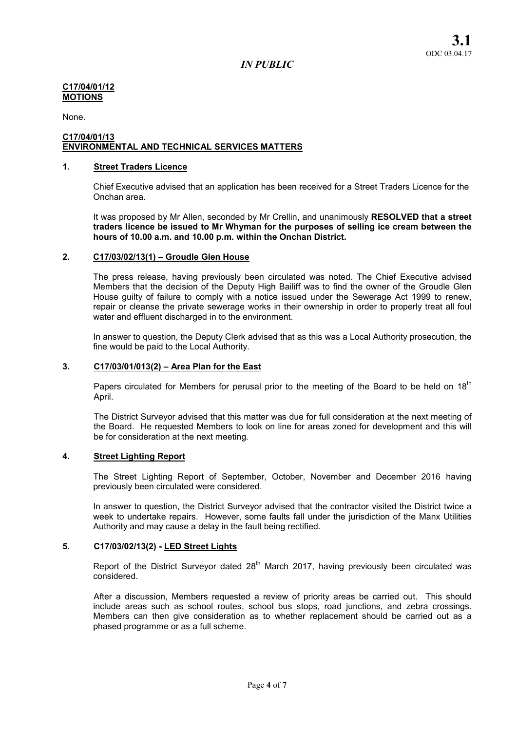#### C17/04/01/12 MOTIONS

None.

#### C17/04/01/13 ENVIRONMENTAL AND TECHNICAL SERVICES MATTERS

## 1. Street Traders Licence

Chief Executive advised that an application has been received for a Street Traders Licence for the Onchan area.

It was proposed by Mr Allen, seconded by Mr Crellin, and unanimously RESOLVED that a street traders licence be issued to Mr Whyman for the purposes of selling ice cream between the hours of 10.00 a.m. and 10.00 p.m. within the Onchan District.

#### 2. C17/03/02/13(1) – Groudle Glen House

The press release, having previously been circulated was noted. The Chief Executive advised Members that the decision of the Deputy High Bailiff was to find the owner of the Groudle Glen House guilty of failure to comply with a notice issued under the Sewerage Act 1999 to renew, repair or cleanse the private sewerage works in their ownership in order to properly treat all foul water and effluent discharged in to the environment.

In answer to question, the Deputy Clerk advised that as this was a Local Authority prosecution, the fine would be paid to the Local Authority.

#### 3. C17/03/01/013(2) – Area Plan for the East

Papers circulated for Members for perusal prior to the meeting of the Board to be held on  $18<sup>th</sup>$ April.

The District Surveyor advised that this matter was due for full consideration at the next meeting of the Board. He requested Members to look on line for areas zoned for development and this will be for consideration at the next meeting.

## 4. Street Lighting Report

The Street Lighting Report of September, October, November and December 2016 having previously been circulated were considered.

In answer to question, the District Surveyor advised that the contractor visited the District twice a week to undertake repairs. However, some faults fall under the jurisdiction of the Manx Utilities Authority and may cause a delay in the fault being rectified.

## 5. C17/03/02/13(2) - LED Street Lights

Report of the District Surveyor dated  $28<sup>th</sup>$  March 2017, having previously been circulated was considered.

After a discussion, Members requested a review of priority areas be carried out. This should include areas such as school routes, school bus stops, road junctions, and zebra crossings. Members can then give consideration as to whether replacement should be carried out as a phased programme or as a full scheme.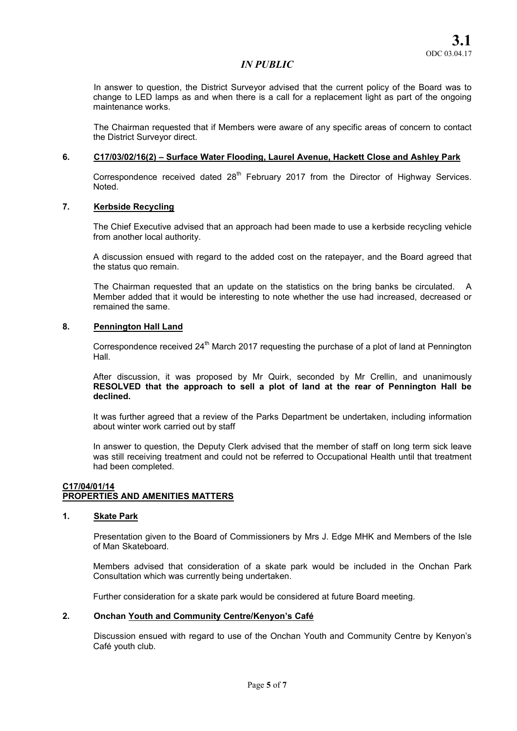In answer to question, the District Surveyor advised that the current policy of the Board was to change to LED lamps as and when there is a call for a replacement light as part of the ongoing maintenance works.

The Chairman requested that if Members were aware of any specific areas of concern to contact the District Surveyor direct.

#### 6. C17/03/02/16(2) – Surface Water Flooding, Laurel Avenue, Hackett Close and Ashley Park

Correspondence received dated 28<sup>th</sup> February 2017 from the Director of Highway Services. Noted.

#### 7. Kerbside Recycling

The Chief Executive advised that an approach had been made to use a kerbside recycling vehicle from another local authority.

A discussion ensued with regard to the added cost on the ratepayer, and the Board agreed that the status quo remain.

The Chairman requested that an update on the statistics on the bring banks be circulated. A Member added that it would be interesting to note whether the use had increased, decreased or remained the same.

## 8. Pennington Hall Land

Correspondence received  $24<sup>th</sup>$  March 2017 requesting the purchase of a plot of land at Pennington Hall.

After discussion, it was proposed by Mr Quirk, seconded by Mr Crellin, and unanimously RESOLVED that the approach to sell a plot of land at the rear of Pennington Hall be declined.

It was further agreed that a review of the Parks Department be undertaken, including information about winter work carried out by staff

In answer to question, the Deputy Clerk advised that the member of staff on long term sick leave was still receiving treatment and could not be referred to Occupational Health until that treatment had been completed.

#### C17/04/01/14 PROPERTIES AND AMENITIES MATTERS

#### 1. Skate Park

Presentation given to the Board of Commissioners by Mrs J. Edge MHK and Members of the Isle of Man Skateboard.

Members advised that consideration of a skate park would be included in the Onchan Park Consultation which was currently being undertaken.

Further consideration for a skate park would be considered at future Board meeting.

#### 2. Onchan Youth and Community Centre/Kenyon's Café

Discussion ensued with regard to use of the Onchan Youth and Community Centre by Kenyon's Café youth club.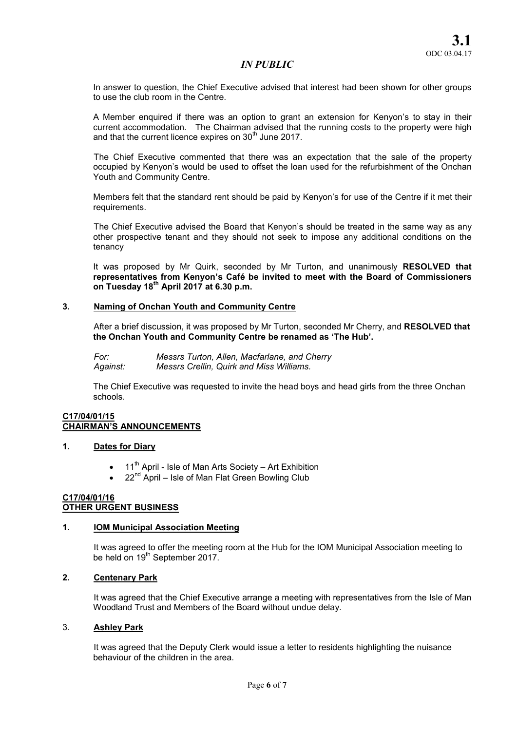In answer to question, the Chief Executive advised that interest had been shown for other groups to use the club room in the Centre.

A Member enquired if there was an option to grant an extension for Kenyon's to stay in their current accommodation. The Chairman advised that the running costs to the property were high and that the current licence expires on  $30<sup>th</sup>$  June 2017.

The Chief Executive commented that there was an expectation that the sale of the property occupied by Kenyon's would be used to offset the loan used for the refurbishment of the Onchan Youth and Community Centre.

Members felt that the standard rent should be paid by Kenyon's for use of the Centre if it met their requirements.

The Chief Executive advised the Board that Kenyon's should be treated in the same way as any other prospective tenant and they should not seek to impose any additional conditions on the tenancy

It was proposed by Mr Quirk, seconded by Mr Turton, and unanimously RESOLVED that representatives from Kenyon's Café be invited to meet with the Board of Commissioners on Tuesday  $18^{th}$  April 2017 at 6.30 p.m.

## 3. Naming of Onchan Youth and Community Centre

After a brief discussion, it was proposed by Mr Turton, seconded Mr Cherry, and RESOLVED that the Onchan Youth and Community Centre be renamed as 'The Hub'.

*For: Messrs Turton, Allen, Macfarlane, and Cherry Against: Messrs Crellin, Quirk and Miss Williams.* 

The Chief Executive was requested to invite the head boys and head girls from the three Onchan schools.

#### C17/04/01/15 CHAIRMAN'S ANNOUNCEMENTS

## 1. Dates for Diary

- $11<sup>th</sup>$  April Isle of Man Arts Society Art Exhibition
- $22<sup>nd</sup>$  April Isle of Man Flat Green Bowling Club

#### C17/04/01/16 OTHER URGENT BUSINESS

#### 1. IOM Municipal Association Meeting

It was agreed to offer the meeting room at the Hub for the IOM Municipal Association meeting to be held on 19<sup>th</sup> September 2017.

## 2. Centenary Park

It was agreed that the Chief Executive arrange a meeting with representatives from the Isle of Man Woodland Trust and Members of the Board without undue delay.

## 3. Ashley Park

It was agreed that the Deputy Clerk would issue a letter to residents highlighting the nuisance behaviour of the children in the area.